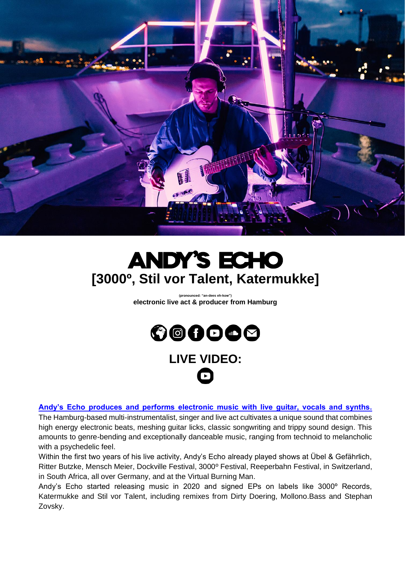

## **ANDY'S ECHO [3000º , [Stil vor Talent,](https://www.youtube.com/watch?t=2086&v=P5twmo0lA-Y&feature=youtu.be) Katermukke]**

**(pronounced: "an-dees eh-kow") electronic live act & producer from Hamburg**



## **LIVE VIDEO:**

**[Andy's Echo produces and performs electronic music with live guitar, vocals and synths.](https://youtu.be/P5twmo0lA-Y?t=2086)**

The Hamburg-based multi-instrumentalist, singer and live act cultivates a unique sound that combines high energy electronic beats, meshing guitar licks, classic songwriting and trippy sound design. This amounts to genre-bending and exceptionally danceable music, ranging from technoid to melancholic with a psychedelic feel.

Within the first two years of his live activity, Andy's Echo already played shows at Übel & Gefährlich, Ritter Butzke, Mensch Meier, Dockville Festival, 3000º Festival, Reeperbahn Festival, in Switzerland, in South Africa, all over Germany, and at the Virtual Burning Man.

Andy's Echo started releasing music in 2020 and signed EPs on labels like 3000º Records, Katermukke and Stil vor Talent, including remixes from Dirty Doering, Mollono.Bass and Stephan Zovsky.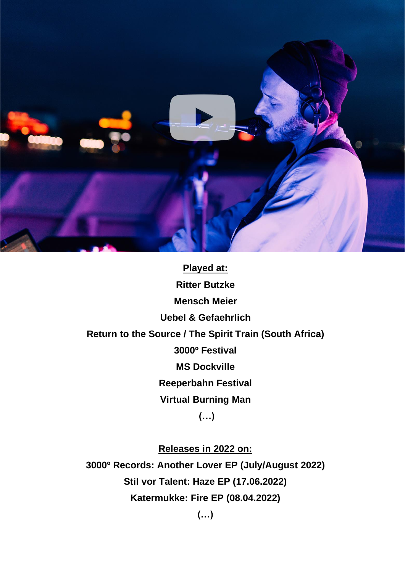

**[Played](https://youtu.be/P5twmo0lA-Y?t=2086) at: Ritter Butzke Mensch Meier Uebel & Gefaehrlich Return to the Source / The Spirit Train (South Africa) 3000º Festival MS Dockville Reeperbahn Festival Virtual Burning Man (…)**

**Releases in 2022 on: 3000º Records: Another Lover EP (July/August 2022) Stil vor Talent: Haze EP (17.06.2022) Katermukke: Fire EP (08.04.2022)**

**(…)**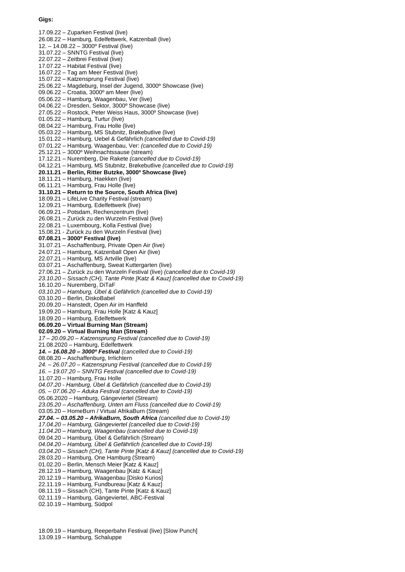## **Gigs:**

17.09.22 – Zuparken Festival (live) 26.08.22 – Hamburg, Edelfettwerk, Katzenball (live) 12. – 14.08.22 – 3000º Festival (live) 31.07.22 – SNNTG Festival (live) 22.07.22 – Zeitbrei Festival (live) 17.07.22 – Habitat Festival (live) 16.07.22 – Tag am Meer Festival (live) 15.07.22 – Katzensprung Festival (live) 25.06.22 – Magdeburg, Insel der Jugend, 3000º Showcase (live) 09.06.22 – Croatia, 3000º am Meer (live) 05.06.22 – Hamburg, Waagenbau, Ver (live) 04.06.22 – Dresden, Sektor, 3000º Showcase (live) 27.05.22 – Rostock, Peter Weiss Haus, 3000º Showcase (live) 01.05.22 – Hamburg, Turtur (live) 08.04.22 – Hamburg, Frau Holle (live) 05.03.22 – Hamburg, MS Stubnitz, Brøkebutlive (live) 15.01.22 – Hamburg, Uebel & Gefährlich *(cancelled due to Covid-19)* 07.01.22 – Hamburg, Waagenbau, Ver: *(cancelled due to Covid-19)* 25.12.21 – 3000º Weihnachtssause (stream) 17.12.21 – Nuremberg, Die Rakete *(cancelled due to Covid-19)* 04.12.21 – Hamburg, MS Stubnitz, Brøkebutlive *(cancelled due to Covid-19)* **20.11.21 – Berlin, Ritter Butzke, 3000º Showcase (live)** 18.11.21 – Hamburg, Haekken (live) 06.11.21 – Hamburg, Frau Holle (live) **31.10.21 – Return to the Source, South Africa (live)** 18.09.21 – LifeLive Charity Festival (stream) 12.09.21 – Hamburg, Edelfettwerk (live) 06.09.21 – Potsdam, Rechenzentrum (live) 26.08.21 – Zurück zu den Wurzeln Festival (live) 22.08.21 – Luxembourg, Kolla Festival (live) 15.08.21 - Zurück zu den Wurzeln Festival (live) **07.08.21 – 3000º Festival (live)** 31.07.21 – Aschaffenburg, Private Open Air (live) 24.07.21 – Hamburg, Katzenball Open Air (live) 22.07.21 – Hamburg, MS Artville (live) 03.07.21 – Aschaffenburg, Sweat Kuttergarten (live) 27.06.21 – Zurück zu den Wurzeln Festival (live) *(cancelled due to Covid-19) 23.10.20 – Sissach (CH), Tante Pinte [Katz & Kauz] (cancelled due to Covid-19)* 16.10.20 – Nuremberg, DiTaF *03.10.20 – Hamburg, Übel & Gefährlich (cancelled due to Covid-19)* 03.10.20 – Berlin, DiskoBabel 20.09.20 – Hanstedt, Open Air im Hanffeld 19.09.20 – Hamburg, Frau Holle [Katz & Kauz] 18.09.20 – Hamburg, Edelfettwerk **06.09.20 – Virtual Burning Man (Stream) 02.09.20 – Virtual Burning Man (Stream)** *17 – 20.09.20 – Katzensprung Festival (cancelled due to Covid-19)* 21.08.2020 – Hamburg, Edelfettwerk *14. – 16.08.20 – 3000º Festival (cancelled due to Covid-19)* 08.08.20 – Aschaffenburg, Irrlichtern *24. – 26.07.20 – Katzensprung Festival (cancelled due to Covid-19) 16. – 19.07.20 – SNNTG Festival (cancelled due to Covid-19)* 11.07.20 – Hamburg, Frau Holle *04.07.20 - Hamburg, Übel & Gefährlich (cancelled due to Covid-19) 05. – 07.06.20 – Aduka Festival (cancelled due to Covid-19)* 05.06.2020 – Hamburg, Gängeviertel (Stream) *23.05.20 – Aschaffenburg, Unten am Fluss (cancelled due to Covid-19)* 03.05.20 – HomeBurn / Virtual AfrikaBurn (Stream) *27.04. – 03.05.20 – AfrikaBurn, South Africa (cancelled due to Covid-19) 17.04.20 – Hamburg, Gängeviertel (cancelled due to Covid-19) 11.04.20 – Hamburg, Waagenbau (cancelled due to Covid-19)* 09.04.20 – Hamburg, Übel & Gefährlich (Stream) *04.04.20 – Hamburg, Übel & Gefährlich (cancelled due to Covid-19) 03.04.20 – Sissach (CH), Tante Pinte [Katz & Kauz] (cancelled due to Covid-19)* 28.03.20 – Hamburg, One Hamburg (Stream) 01.02.20 – Berlin, Mensch Meier [Katz & Kauz] 28.12.19 – Hamburg, Waagenbau [Katz & Kauz] 20.12.19 – Hamburg, Waagenbau [Disko Kurios] 22.11.19 – Hamburg, Fundbureau [Katz & Kauz] 08.11.19 – Sissach (CH), Tante Pinte [Katz & Kauz] 02.11.19 – Hamburg, Gängeviertel, ABC-Festival 02.10.19 – Hamburg, Südpol